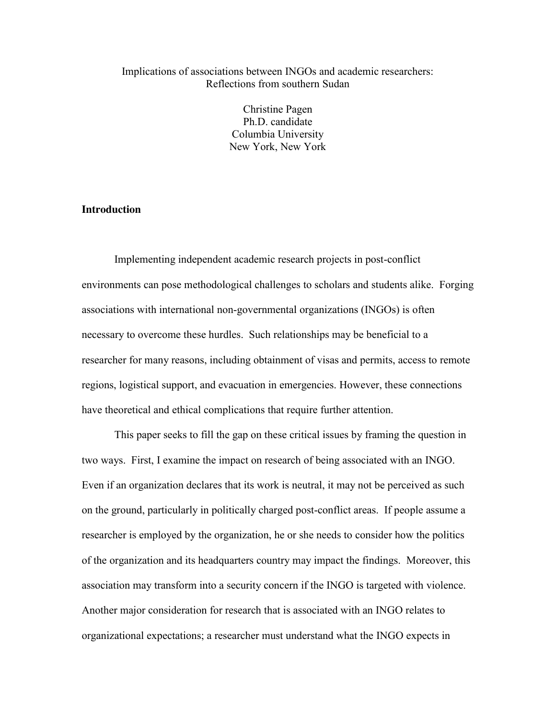# Implications of associations between INGOs and academic researchers: Reflections from southern Sudan

Christine Pagen Ph.D. candidate Columbia University New York, New York

# **Introduction**

Implementing independent academic research projects in post-conflict environments can pose methodological challenges to scholars and students alike. Forging associations with international non-governmental organizations (INGOs) is often necessary to overcome these hurdles. Such relationships may be beneficial to a researcher for many reasons, including obtainment of visas and permits, access to remote regions, logistical support, and evacuation in emergencies. However, these connections have theoretical and ethical complications that require further attention.

This paper seeks to fill the gap on these critical issues by framing the question in two ways. First, I examine the impact on research of being associated with an INGO. Even if an organization declares that its work is neutral, it may not be perceived as such on the ground, particularly in politically charged post-conflict areas. If people assume a researcher is employed by the organization, he or she needs to consider how the politics of the organization and its headquarters country may impact the findings. Moreover, this association may transform into a security concern if the INGO is targeted with violence. Another major consideration for research that is associated with an INGO relates to organizational expectations; a researcher must understand what the INGO expects in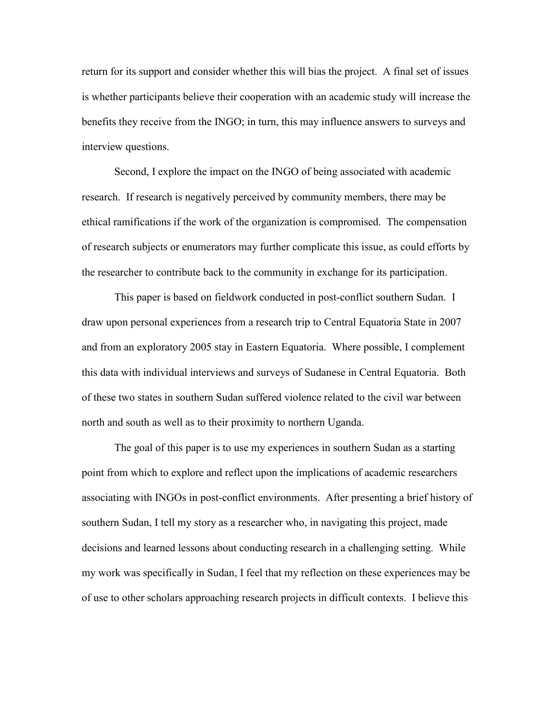return for its support and consider whether this will bias the project. A final set of issues is whether participants believe their cooperation with an academic study will increase the benefits they receive from the INGO; in turn, this may influence answers to surveys and interview questions.

Second, I explore the impact on the INGO of being associated with academic research. If research is negatively perceived by community members, there may be ethical ramifications if the work of the organization is compromised. The compensation of research subjects or enumerators may further complicate this issue, as could efforts by the researcher to contribute back to the community in exchange for its participation.

This paper is based on fieldwork conducted in post-conflict southern Sudan. I draw upon personal experiences from a research trip to Central Equatoria State in 2007 and from an exploratory 2005 stay in Eastern Equatoria. Where possible, I complement this data with individual interviews and surveys of Sudanese in Central Equatoria. Both of these two states in southern Sudan suffered violence related to the civil war between north and south as well as to their proximity to northern Uganda.

The goal of this paper is to use my experiences in southern Sudan as a starting point from which to explore and reflect upon the implications of academic researchers associating with INGOs in post-conflict environments. After presenting a brief history of southern Sudan, I tell my story as a researcher who, in navigating this project, made decisions and learned lessons about conducting research in a challenging setting. While my work was specifically in Sudan, I feel that my reflection on these experiences may be of use to other scholars approaching research projects in difficult contexts. I believe this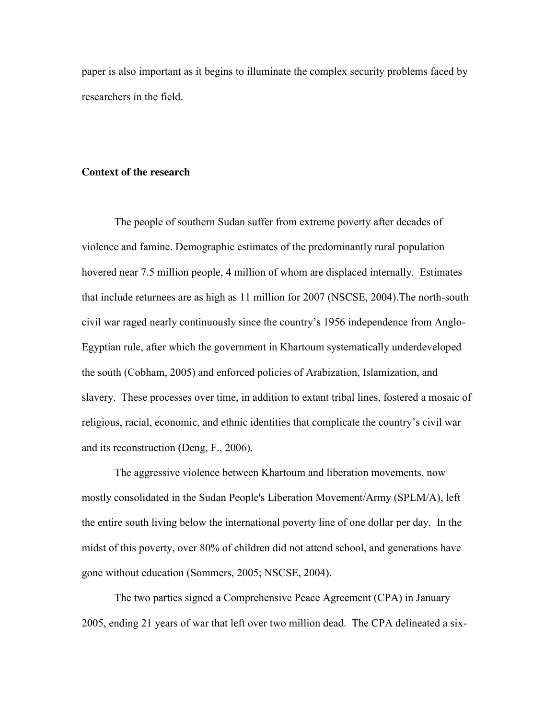paper is also important as it begins to illuminate the complex security problems faced by researchers in the field.

#### **Context of the research**

The people of southern Sudan suffer from extreme poverty after decades of violence and famine. Demographic estimates of the predominantly rural population hovered near 7.5 million people, 4 million of whom are displaced internally. Estimates that include returnees are as high as 11 million for 2007 (NSCSE, 2004).The north-south civil war raged nearly continuously since the country's 1956 independence from Anglo-Egyptian rule, after which the government in Khartoum systematically underdeveloped the south (Cobham, 2005) and enforced policies of Arabization, Islamization, and slavery. These processes over time, in addition to extant tribal lines, fostered a mosaic of religious, racial, economic, and ethnic identities that complicate the country's civil war and its reconstruction (Deng, F., 2006).

The aggressive violence between Khartoum and liberation movements, now mostly consolidated in the Sudan People's Liberation Movement/Army (SPLM/A), left the entire south living below the international poverty line of one dollar per day. In the midst of this poverty, over 80% of children did not attend school, and generations have gone without education (Sommers, 2005; NSCSE, 2004).

The two parties signed a Comprehensive Peace Agreement (CPA) in January 2005, ending 21 years of war that left over two million dead. The CPA delineated a six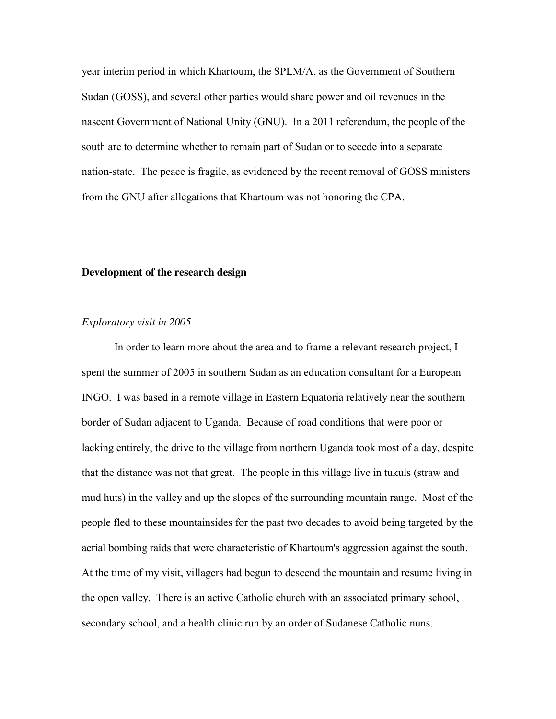year interim period in which Khartoum, the SPLM/A, as the Government of Southern Sudan (GOSS), and several other parties would share power and oil revenues in the nascent Government of National Unity (GNU). In a 2011 referendum, the people of the south are to determine whether to remain part of Sudan or to secede into a separate nation-state. The peace is fragile, as evidenced by the recent removal of GOSS ministers from the GNU after allegations that Khartoum was not honoring the CPA.

## **Development of the research design**

## *Exploratory visit in 2005*

In order to learn more about the area and to frame a relevant research project, I spent the summer of 2005 in southern Sudan as an education consultant for a European INGO. I was based in a remote village in Eastern Equatoria relatively near the southern border of Sudan adjacent to Uganda. Because of road conditions that were poor or lacking entirely, the drive to the village from northern Uganda took most of a day, despite that the distance was not that great. The people in this village live in tukuls (straw and mud huts) in the valley and up the slopes of the surrounding mountain range. Most of the people fled to these mountainsides for the past two decades to avoid being targeted by the aerial bombing raids that were characteristic of Khartoum's aggression against the south. At the time of my visit, villagers had begun to descend the mountain and resume living in the open valley. There is an active Catholic church with an associated primary school, secondary school, and a health clinic run by an order of Sudanese Catholic nuns.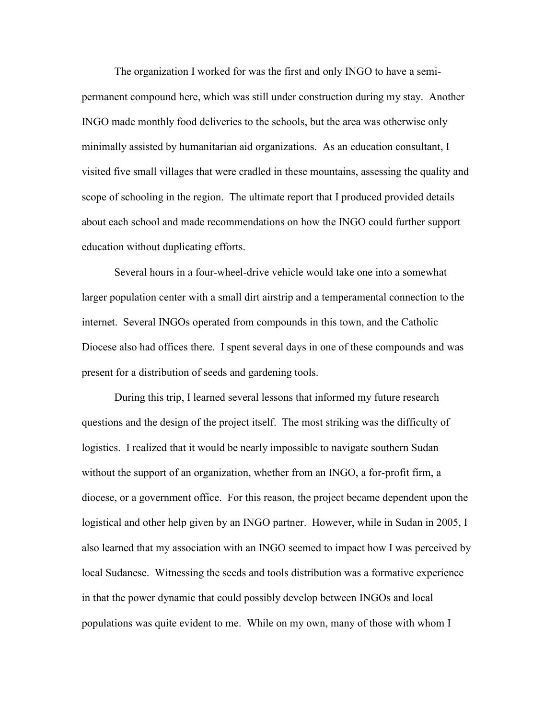The organization I worked for was the first and only INGO to have a semipermanent compound here, which was still under construction during my stay. Another INGO made monthly food deliveries to the schools, but the area was otherwise only minimally assisted by humanitarian aid organizations. As an education consultant, I visited five small villages that were cradled in these mountains, assessing the quality and scope of schooling in the region. The ultimate report that I produced provided details about each school and made recommendations on how the INGO could further support education without duplicating efforts.

Several hours in a four-wheel-drive vehicle would take one into a somewhat larger population center with a small dirt airstrip and a temperamental connection to the internet. Several INGOs operated from compounds in this town, and the Catholic Diocese also had offices there. I spent several days in one of these compounds and was present for a distribution of seeds and gardening tools.

During this trip, I learned several lessons that informed my future research questions and the design of the project itself. The most striking was the difficulty of logistics. I realized that it would be nearly impossible to navigate southern Sudan without the support of an organization, whether from an INGO, a for-profit firm, a diocese, or a government office. For this reason, the project became dependent upon the logistical and other help given by an INGO partner. However, while in Sudan in 2005, I also learned that my association with an INGO seemed to impact how I was perceived by local Sudanese. Witnessing the seeds and tools distribution was a formative experience in that the power dynamic that could possibly develop between INGOs and local populations was quite evident to me. While on my own, many of those with whom I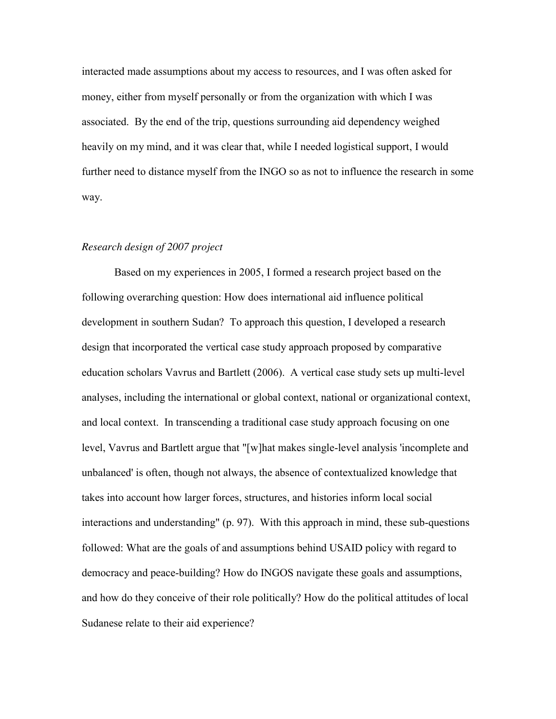interacted made assumptions about my access to resources, and I was often asked for money, either from myself personally or from the organization with which I was associated. By the end of the trip, questions surrounding aid dependency weighed heavily on my mind, and it was clear that, while I needed logistical support, I would further need to distance myself from the INGO so as not to influence the research in some way.

## *Research design of 2007 project*

Based on my experiences in 2005, I formed a research project based on the following overarching question: How does international aid influence political development in southern Sudan? To approach this question, I developed a research design that incorporated the vertical case study approach proposed by comparative education scholars Vavrus and Bartlett (2006). A vertical case study sets up multi-level analyses, including the international or global context, national or organizational context, and local context. In transcending a traditional case study approach focusing on one level, Vavrus and Bartlett argue that "[w]hat makes single-level analysis 'incomplete and unbalanced' is often, though not always, the absence of contextualized knowledge that takes into account how larger forces, structures, and histories inform local social interactions and understanding" (p. 97). With this approach in mind, these sub-questions followed: What are the goals of and assumptions behind USAID policy with regard to democracy and peace-building? How do INGOS navigate these goals and assumptions, and how do they conceive of their role politically? How do the political attitudes of local Sudanese relate to their aid experience?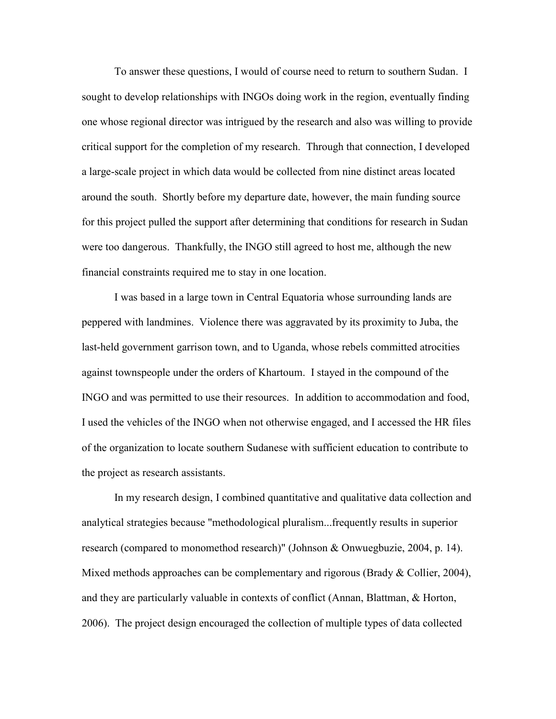To answer these questions, I would of course need to return to southern Sudan. I sought to develop relationships with INGOs doing work in the region, eventually finding one whose regional director was intrigued by the research and also was willing to provide critical support for the completion of my research. Through that connection, I developed a large-scale project in which data would be collected from nine distinct areas located around the south. Shortly before my departure date, however, the main funding source for this project pulled the support after determining that conditions for research in Sudan were too dangerous. Thankfully, the INGO still agreed to host me, although the new financial constraints required me to stay in one location.

I was based in a large town in Central Equatoria whose surrounding lands are peppered with landmines. Violence there was aggravated by its proximity to Juba, the last-held government garrison town, and to Uganda, whose rebels committed atrocities against townspeople under the orders of Khartoum. I stayed in the compound of the INGO and was permitted to use their resources. In addition to accommodation and food, I used the vehicles of the INGO when not otherwise engaged, and I accessed the HR files of the organization to locate southern Sudanese with sufficient education to contribute to the project as research assistants.

In my research design, I combined quantitative and qualitative data collection and analytical strategies because "methodological pluralism...frequently results in superior research (compared to monomethod research)" (Johnson & Onwuegbuzie, 2004, p. 14). Mixed methods approaches can be complementary and rigorous (Brady & Collier, 2004), and they are particularly valuable in contexts of conflict (Annan, Blattman, & Horton, 2006). The project design encouraged the collection of multiple types of data collected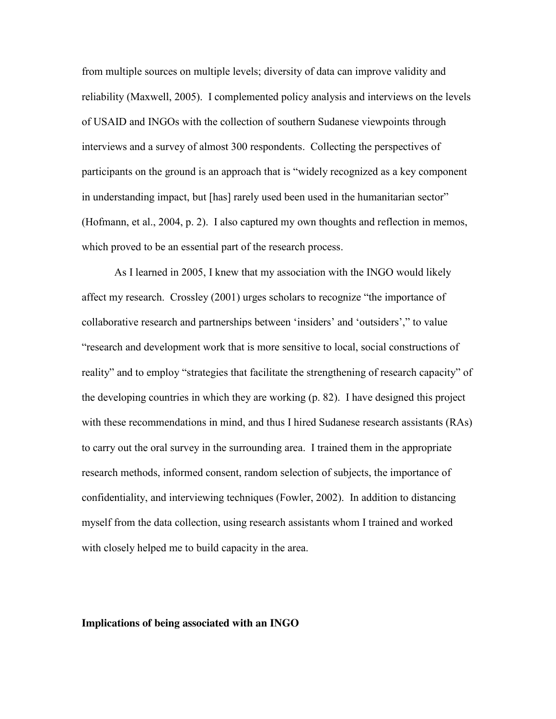from multiple sources on multiple levels; diversity of data can improve validity and reliability (Maxwell, 2005). I complemented policy analysis and interviews on the levels of USAID and INGOs with the collection of southern Sudanese viewpoints through interviews and a survey of almost 300 respondents. Collecting the perspectives of participants on the ground is an approach that is "widely recognized as a key component in understanding impact, but [has] rarely used been used in the humanitarian sector" (Hofmann, et al., 2004, p. 2). I also captured my own thoughts and reflection in memos, which proved to be an essential part of the research process.

As I learned in 2005, I knew that my association with the INGO would likely affect my research. Crossley (2001) urges scholars to recognize "the importance of collaborative research and partnerships between 'insiders' and 'outsiders'," to value "research and development work that is more sensitive to local, social constructions of reality" and to employ "strategies that facilitate the strengthening of research capacity" of the developing countries in which they are working (p. 82). I have designed this project with these recommendations in mind, and thus I hired Sudanese research assistants (RAs) to carry out the oral survey in the surrounding area. I trained them in the appropriate research methods, informed consent, random selection of subjects, the importance of confidentiality, and interviewing techniques (Fowler, 2002). In addition to distancing myself from the data collection, using research assistants whom I trained and worked with closely helped me to build capacity in the area.

#### **Implications of being associated with an INGO**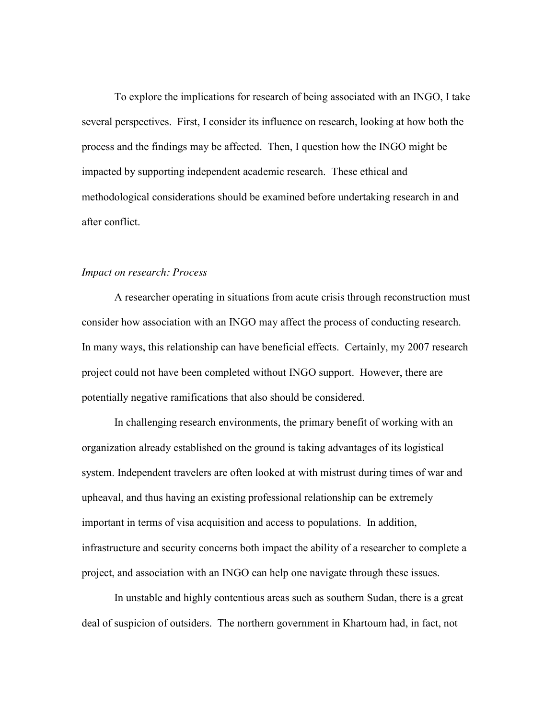To explore the implications for research of being associated with an INGO, I take several perspectives. First, I consider its influence on research, looking at how both the process and the findings may be affected. Then, I question how the INGO might be impacted by supporting independent academic research. These ethical and methodological considerations should be examined before undertaking research in and after conflict.

## *Impact on research: Process*

A researcher operating in situations from acute crisis through reconstruction must consider how association with an INGO may affect the process of conducting research. In many ways, this relationship can have beneficial effects. Certainly, my 2007 research project could not have been completed without INGO support. However, there are potentially negative ramifications that also should be considered.

In challenging research environments, the primary benefit of working with an organization already established on the ground is taking advantages of its logistical system. Independent travelers are often looked at with mistrust during times of war and upheaval, and thus having an existing professional relationship can be extremely important in terms of visa acquisition and access to populations. In addition, infrastructure and security concerns both impact the ability of a researcher to complete a project, and association with an INGO can help one navigate through these issues.

In unstable and highly contentious areas such as southern Sudan, there is a great deal of suspicion of outsiders. The northern government in Khartoum had, in fact, not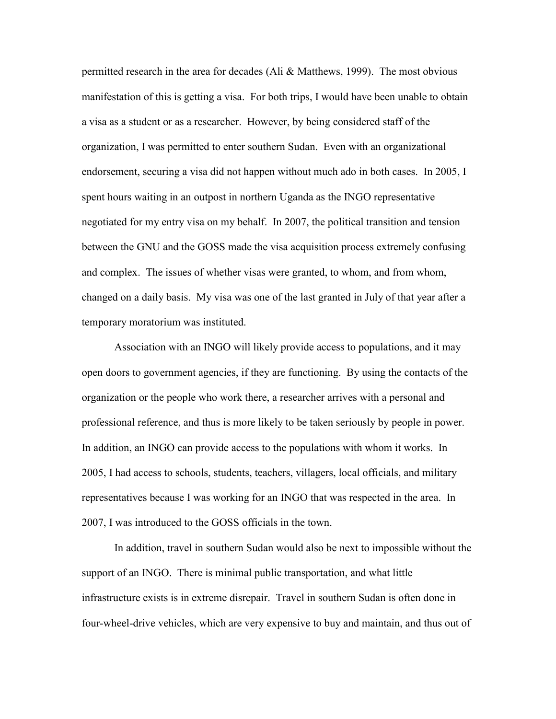permitted research in the area for decades (Ali & Matthews, 1999). The most obvious manifestation of this is getting a visa. For both trips, I would have been unable to obtain a visa as a student or as a researcher. However, by being considered staff of the organization, I was permitted to enter southern Sudan. Even with an organizational endorsement, securing a visa did not happen without much ado in both cases. In 2005, I spent hours waiting in an outpost in northern Uganda as the INGO representative negotiated for my entry visa on my behalf. In 2007, the political transition and tension between the GNU and the GOSS made the visa acquisition process extremely confusing and complex. The issues of whether visas were granted, to whom, and from whom, changed on a daily basis. My visa was one of the last granted in July of that year after a temporary moratorium was instituted.

Association with an INGO will likely provide access to populations, and it may open doors to government agencies, if they are functioning. By using the contacts of the organization or the people who work there, a researcher arrives with a personal and professional reference, and thus is more likely to be taken seriously by people in power. In addition, an INGO can provide access to the populations with whom it works. In 2005, I had access to schools, students, teachers, villagers, local officials, and military representatives because I was working for an INGO that was respected in the area. In 2007, I was introduced to the GOSS officials in the town.

In addition, travel in southern Sudan would also be next to impossible without the support of an INGO. There is minimal public transportation, and what little infrastructure exists is in extreme disrepair. Travel in southern Sudan is often done in four-wheel-drive vehicles, which are very expensive to buy and maintain, and thus out of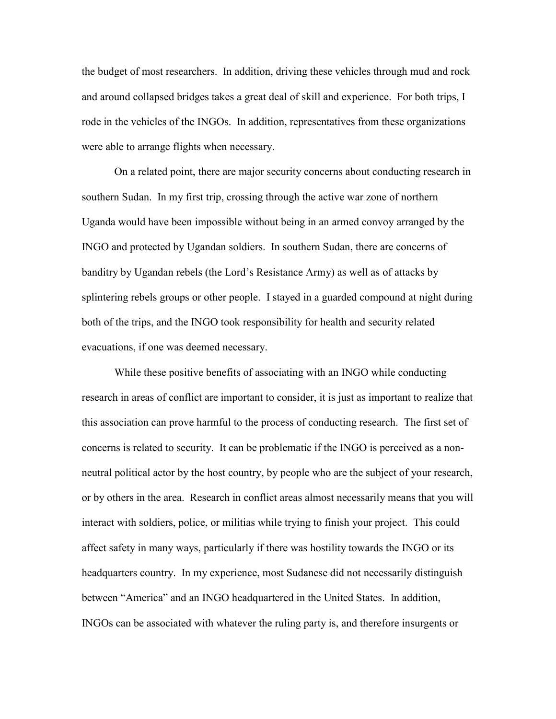the budget of most researchers. In addition, driving these vehicles through mud and rock and around collapsed bridges takes a great deal of skill and experience. For both trips, I rode in the vehicles of the INGOs. In addition, representatives from these organizations were able to arrange flights when necessary.

On a related point, there are major security concerns about conducting research in southern Sudan. In my first trip, crossing through the active war zone of northern Uganda would have been impossible without being in an armed convoy arranged by the INGO and protected by Ugandan soldiers. In southern Sudan, there are concerns of banditry by Ugandan rebels (the Lord's Resistance Army) as well as of attacks by splintering rebels groups or other people. I stayed in a guarded compound at night during both of the trips, and the INGO took responsibility for health and security related evacuations, if one was deemed necessary.

While these positive benefits of associating with an INGO while conducting research in areas of conflict are important to consider, it is just as important to realize that this association can prove harmful to the process of conducting research. The first set of concerns is related to security. It can be problematic if the INGO is perceived as a nonneutral political actor by the host country, by people who are the subject of your research, or by others in the area. Research in conflict areas almost necessarily means that you will interact with soldiers, police, or militias while trying to finish your project. This could affect safety in many ways, particularly if there was hostility towards the INGO or its headquarters country. In my experience, most Sudanese did not necessarily distinguish between "America" and an INGO headquartered in the United States. In addition, INGOs can be associated with whatever the ruling party is, and therefore insurgents or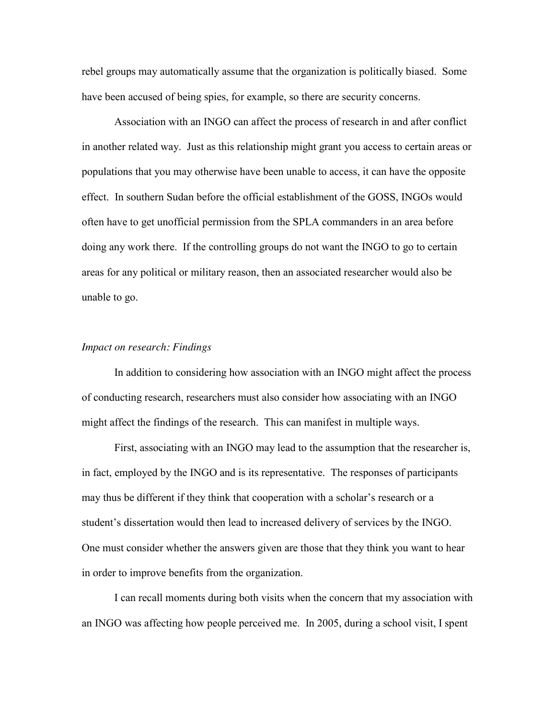rebel groups may automatically assume that the organization is politically biased. Some have been accused of being spies, for example, so there are security concerns.

Association with an INGO can affect the process of research in and after conflict in another related way. Just as this relationship might grant you access to certain areas or populations that you may otherwise have been unable to access, it can have the opposite effect. In southern Sudan before the official establishment of the GOSS, INGOs would often have to get unofficial permission from the SPLA commanders in an area before doing any work there. If the controlling groups do not want the INGO to go to certain areas for any political or military reason, then an associated researcher would also be unable to go.

#### *Impact on research: Findings*

In addition to considering how association with an INGO might affect the process of conducting research, researchers must also consider how associating with an INGO might affect the findings of the research. This can manifest in multiple ways.

First, associating with an INGO may lead to the assumption that the researcher is, in fact, employed by the INGO and is its representative. The responses of participants may thus be different if they think that cooperation with a scholar's research or a student's dissertation would then lead to increased delivery of services by the INGO. One must consider whether the answers given are those that they think you want to hear in order to improve benefits from the organization.

I can recall moments during both visits when the concern that my association with an INGO was affecting how people perceived me. In 2005, during a school visit, I spent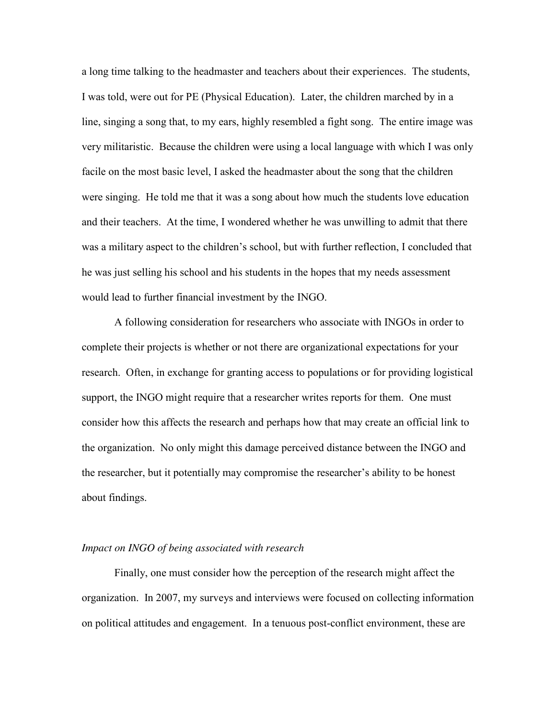a long time talking to the headmaster and teachers about their experiences. The students, I was told, were out for PE (Physical Education). Later, the children marched by in a line, singing a song that, to my ears, highly resembled a fight song. The entire image was very militaristic. Because the children were using a local language with which I was only facile on the most basic level, I asked the headmaster about the song that the children were singing. He told me that it was a song about how much the students love education and their teachers. At the time, I wondered whether he was unwilling to admit that there was a military aspect to the children's school, but with further reflection, I concluded that he was just selling his school and his students in the hopes that my needs assessment would lead to further financial investment by the INGO.

A following consideration for researchers who associate with INGOs in order to complete their projects is whether or not there are organizational expectations for your research. Often, in exchange for granting access to populations or for providing logistical support, the INGO might require that a researcher writes reports for them. One must consider how this affects the research and perhaps how that may create an official link to the organization. No only might this damage perceived distance between the INGO and the researcher, but it potentially may compromise the researcher's ability to be honest about findings.

## *Impact on INGO of being associated with research*

Finally, one must consider how the perception of the research might affect the organization. In 2007, my surveys and interviews were focused on collecting information on political attitudes and engagement. In a tenuous post-conflict environment, these are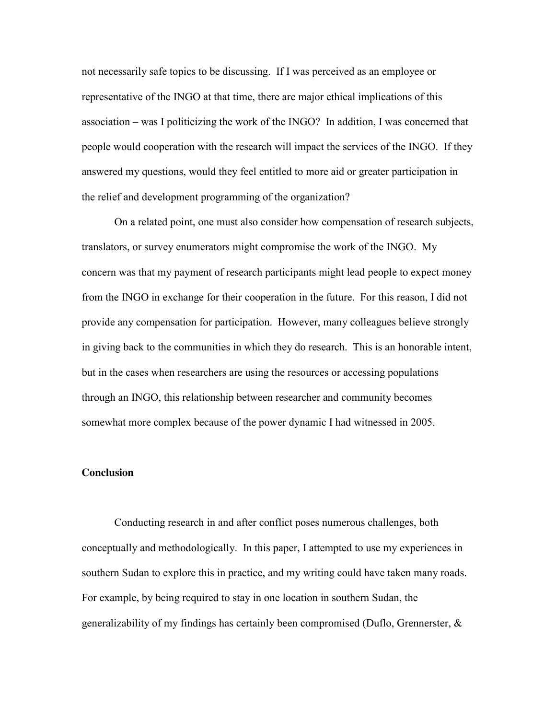not necessarily safe topics to be discussing. If I was perceived as an employee or representative of the INGO at that time, there are major ethical implications of this association – was I politicizing the work of the INGO? In addition, I was concerned that people would cooperation with the research will impact the services of the INGO. If they answered my questions, would they feel entitled to more aid or greater participation in the relief and development programming of the organization?

On a related point, one must also consider how compensation of research subjects, translators, or survey enumerators might compromise the work of the INGO. My concern was that my payment of research participants might lead people to expect money from the INGO in exchange for their cooperation in the future. For this reason, I did not provide any compensation for participation. However, many colleagues believe strongly in giving back to the communities in which they do research. This is an honorable intent, but in the cases when researchers are using the resources or accessing populations through an INGO, this relationship between researcher and community becomes somewhat more complex because of the power dynamic I had witnessed in 2005.

## **Conclusion**

Conducting research in and after conflict poses numerous challenges, both conceptually and methodologically. In this paper, I attempted to use my experiences in southern Sudan to explore this in practice, and my writing could have taken many roads. For example, by being required to stay in one location in southern Sudan, the generalizability of my findings has certainly been compromised (Duflo, Grennerster, &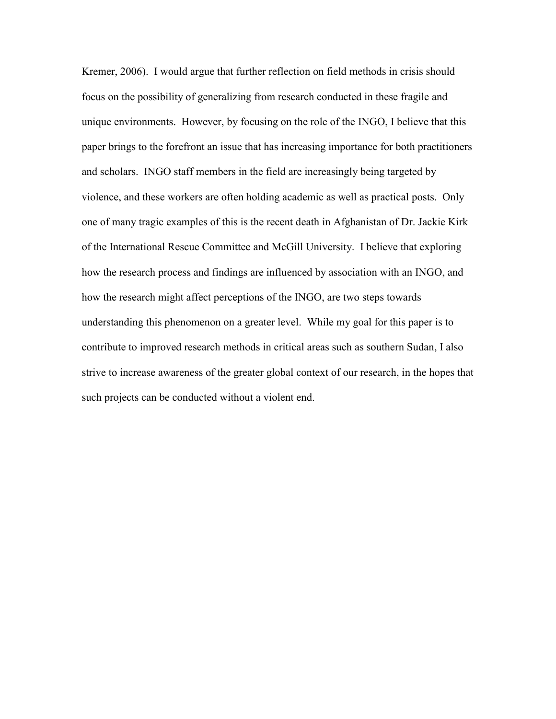Kremer, 2006). I would argue that further reflection on field methods in crisis should focus on the possibility of generalizing from research conducted in these fragile and unique environments. However, by focusing on the role of the INGO, I believe that this paper brings to the forefront an issue that has increasing importance for both practitioners and scholars. INGO staff members in the field are increasingly being targeted by violence, and these workers are often holding academic as well as practical posts. Only one of many tragic examples of this is the recent death in Afghanistan of Dr. Jackie Kirk of the International Rescue Committee and McGill University. I believe that exploring how the research process and findings are influenced by association with an INGO, and how the research might affect perceptions of the INGO, are two steps towards understanding this phenomenon on a greater level. While my goal for this paper is to contribute to improved research methods in critical areas such as southern Sudan, I also strive to increase awareness of the greater global context of our research, in the hopes that such projects can be conducted without a violent end.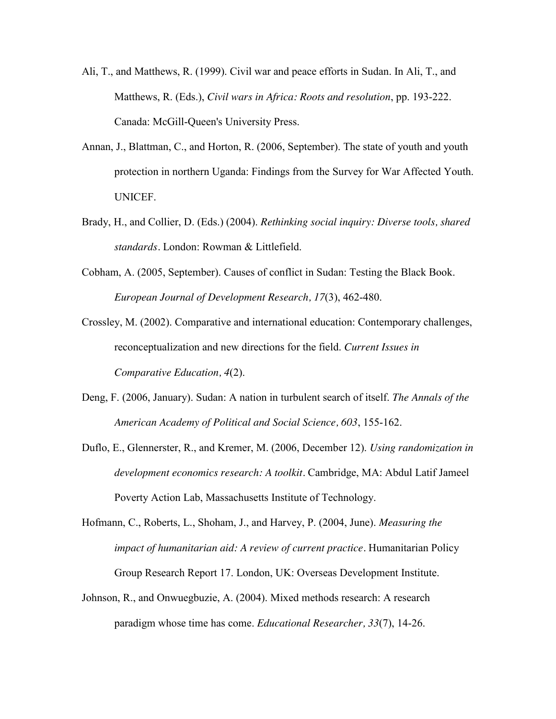- Ali, T., and Matthews, R. (1999). Civil war and peace efforts in Sudan. In Ali, T., and Matthews, R. (Eds.), *Civil wars in Africa: Roots and resolution*, pp. 193-222. Canada: McGill-Queen's University Press.
- Annan, J., Blattman, C., and Horton, R. (2006, September). The state of youth and youth protection in northern Uganda: Findings from the Survey for War Affected Youth. UNICEF.
- Brady, H., and Collier, D. (Eds.) (2004). *Rethinking social inquiry: Diverse tools, shared standards.* London: Rowman & Littlefield.
- Cobham, A. (2005, September). Causes of conflict in Sudan: Testing the Black Book. *European Journal of Development Research, 17*(3), 462-480.
- Crossley, M. (2002). Comparative and international education: Contemporary challenges, reconceptualization and new directions for the field. *Current Issues in Comparative Education, 4*(2).
- Deng, F. (2006, January). Sudan: A nation in turbulent search of itself. *The Annals of the American Academy of Political and Social Science, 603*, 155-162.
- Duflo, E., Glennerster, R., and Kremer, M. (2006, December 12). *Using randomization in development economics research: A toolkit.* Cambridge, MA: Abdul Latif Jameel Poverty Action Lab, Massachusetts Institute of Technology.
- Hofmann, C., Roberts, L., Shoham, J., and Harvey, P. (2004, June). *Measuring the impact of humanitarian aid: A review of current practice.* Humanitarian Policy Group Research Report 17. London, UK: Overseas Development Institute.
- Johnson, R., and Onwuegbuzie, A. (2004). Mixed methods research: A research paradigm whose time has come. *Educational Researcher, 33*(7), 14-26.